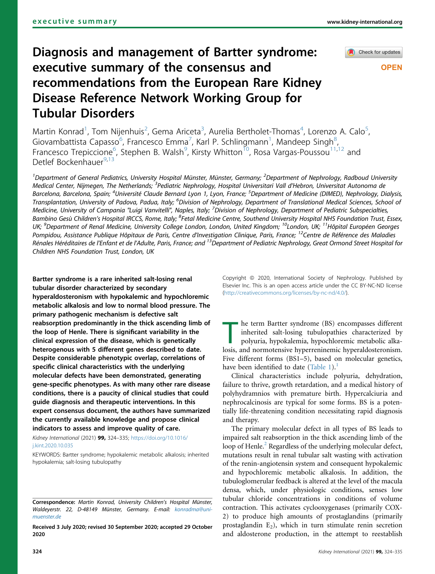# Check for updates

# **OPEN**

# Diagnosis and management of Bartter syndrome: executive summary of the consensus and recommendations from the European Rare Kidney Disease Reference Network Working Group for Tubular Disorders

Martin Konrad<sup>[1](#page-0-0)</sup>, Tom Nijenhuis<sup>[2](#page-0-0)</sup>, Gema Ariceta<sup>[3](#page-0-1)</sup>, Aurelia Bertholet-Thomas<sup>[4](#page-0-2)</sup>, Lorenzo A. Calo<sup>[5](#page-0-2)</sup> , Giovambattista Capasso<sup>[6](#page-0-3)</sup>, Francesco Emma<sup>[7](#page-0-4)</sup>, Karl P. Schlingmann<sup>[1](#page-0-0)</sup>, Mandeep Singh<sup>[8](#page-0-5)</sup> , Francesco Trepiccione<sup>6</sup>, Stephen B. Walsh<sup>[9](#page-0-6)</sup>, Kirsty Whitton<sup>[10](#page-0-6)</sup>, Rosa Vargas-Poussou<sup>[11](#page-0-6)[,12](#page-0-7)</sup> and Detlef Bockenhauer<sup>[9](#page-0-6)[,13](#page-0-8)</sup>

<span id="page-0-6"></span><span id="page-0-5"></span><span id="page-0-4"></span><span id="page-0-3"></span><span id="page-0-2"></span><span id="page-0-1"></span><span id="page-0-0"></span><sup>1</sup>Department of General Pediatrics, University Hospital Münster, Münster, Germany; <sup>2</sup>Department of Nephrology, Radboud University Medical Center, Nijmegen, The Netherlands; <sup>3</sup>Pediatric Nephrology, Hospital Universitari Vall d'Hebron, Universitat Autonoma de Barcelona, Barcelona, Spain; <sup>4</sup>Université Claude Bernard Lyon 1, Lyon, France; <sup>5</sup>Department of Medicine (DIMED), Nephrology, Dialysis, Transplantation, University of Padova, Padua, Italy; <sup>6</sup>Division of Nephrology, Department of Translational Medical Sciences, School of Medicine, University of Campania "Luigi Vanvitelli", Naples, Italy; <sup>7</sup>Division of Nephrology, Department of Pediatric Subspecialties, Bambino Gesù Children's Hospital IRCCS, Rome, Italy; <sup>8</sup>Fetal Medicine Centre, Southend University Hospital NHS Foundation Trust, Essex, UK; <sup>9</sup>Department of Renal Medicine, University College London, London, United Kingdom; <sup>10</sup>London, UK; <sup>11</sup>Hôpital Européen Georges Pompidou, Assistance Publique Hôpitaux de Paris, Centre d'Investigation Clinique, Paris, France; <sup>12</sup>Centre de Référence des Maladies Rénales Héréditaires de l'Enfant et de l'Adulte, Paris, France; and <sup>13</sup>Department of Pediatric Nephrology, Great Ormond Street Hospital for Children NHS Foundation Trust, London, UK

<span id="page-0-8"></span><span id="page-0-7"></span>Bartter syndrome is a rare inherited salt-losing renal tubular disorder characterized by secondary hyperaldosteronism with hypokalemic and hypochloremic metabolic alkalosis and low to normal blood pressure. The primary pathogenic mechanism is defective salt reabsorption predominantly in the thick ascending limb of the loop of Henle. There is significant variability in the clinical expression of the disease, which is genetically heterogenous with 5 different genes described to date. Despite considerable phenotypic overlap, correlations of specific clinical characteristics with the underlying molecular defects have been demonstrated, generating gene-specific phenotypes. As with many other rare disease conditions, there is a paucity of clinical studies that could guide diagnosis and therapeutic interventions. In this expert consensus document, the authors have summarized the currently available knowledge and propose clinical indicators to assess and improve quality of care.

Kidney International (2021) 99, 324–335; [https://doi.org/10.1016/](https://doi.org/10.1016/j.kint.2020.10.035) [j.kint.2020.10.035](https://doi.org/10.1016/j.kint.2020.10.035)

KEYWORDS: Bartter syndrome; hypokalemic metabolic alkalosis; inherited hypokalemia; salt-losing tubulopathy

Received 3 July 2020; revised 30 September 2020; accepted 29 October 2020

Copyright © 2020, International Society of Nephrology. Published by Elsevier Inc. This is an open access article under the CC BY-NC-ND license [\(http://creativecommons.org/licenses/by-nc-nd/4.0/](http://creativecommons.org/licenses/by-nc-nd/4.0/)).

 $\blacksquare$  he term Bartter syndrome (BS) encompasses different inherited salt-losing tubulopathies characterized by polyuria, hypokalemia, hypochloremic metabolic alkalosis, and normotensive hyperreninemic hyperaldosteronism. Five different forms (BS1–5), based on molecular genetics, have been identified to date [\(Table 1\)](#page-1-0).<sup>[1](#page-9-0)</sup>

Clinical characteristics include polyuria, dehydration, failure to thrive, growth retardation, and a medical history of polyhydramnios with premature birth. Hypercalciuria and nephrocalcinosis are typical for some forms. BS is a potentially life-threatening condition necessitating rapid diagnosis and therapy.

The primary molecular defect in all types of BS leads to impaired salt reabsorption in the thick ascending limb of the loop of Henle.<sup>[2](#page-9-1)</sup> Regardless of the underlying molecular defect, mutations result in renal tubular salt wasting with activation of the renin-angiotensin system and consequent hypokalemic and hypochloremic metabolic alkalosis. In addition, the tubuloglomerular feedback is altered at the level of the macula densa, which, under physiologic conditions, senses low tubular chloride concentrations in conditions of volume contraction. This activates cyclooxygenases (primarily COX-2) to produce high amounts of prostaglandins (primarily prostaglandin  $E_2$ ), which in turn stimulate renin secretion and aldosterone production, in the attempt to reestablish

Correspondence: Martin Konrad, University Children's Hospital Münster, Waldeyerstr. 22, D-48149 Münster, Germany. E-mail: [konradma@uni](mailto:konradma@uni-muenster.de)[muenster.de](mailto:konradma@uni-muenster.de)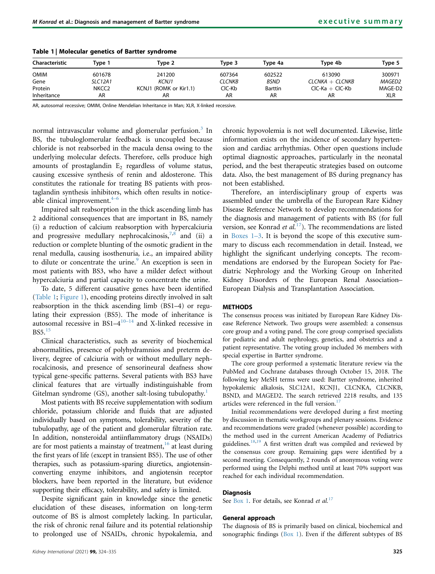| <b>Characteristic</b> | Tvpe 1         | Type 2                 | Tvpe 3 | Type 4a        | Type 4b           | Type 5     |
|-----------------------|----------------|------------------------|--------|----------------|-------------------|------------|
| <b>OMIM</b>           | 601678         | 241200                 | 607364 | 602522         | 613090            | 300971     |
| Gene                  | <b>SLC12A1</b> | <b>KCNJ1</b>           | CLCNKB | <b>BSND</b>    | $CLCNKA + CLCNKB$ | MAGED2     |
| Protein               | NKCC2          | KCNJ1 (ROMK or Kir1.1) | CIC-Kb | <b>Barttin</b> | $CIC-Ka + CIC-Kb$ | MAGE-D2    |
| Inheritance           | AR             | AR                     | AR     | AR             | AR                | <b>XLR</b> |

<span id="page-1-0"></span>Table 1 | Molecular genetics of Bartter syndrome

AR, autosomal recessive; OMIM, Online Mendelian Inheritance in Man; XLR, X-linked recessive.

normal intravascular volume and glomerular perfusion.<sup>[3](#page-9-2)</sup> In BS, the tubuloglomerular feedback is uncoupled because chloride is not reabsorbed in the macula densa owing to the underlying molecular defects. Therefore, cells produce high amounts of prostaglandin  $E_2$  regardless of volume status, causing excessive synthesis of renin and aldosterone. This constitutes the rationale for treating BS patients with prostaglandin synthesis inhibit[ors](#page-9-3), which often results in noticeable clinical improvement. $4-6$ 

Impaired salt reabsorption in the thick ascending limb has 2 additional consequences that are important in BS, namely (i) a reduction of calcium reabsorption with hypercalciuria and progressive medullary nephrocalcinosis,  $7,8$  $7,8$  and (ii) a reduction or complete blunting of the osmotic gradient in the renal medulla, causing isosthenuria, i.e., an impaired ability to dilute or concentrate the urine.<sup>[9](#page-9-6)</sup> An exception is seen in most patients with BS3, who have a milder defect without hypercalciuria and partial capacity to concentrate the urine.

To date, 5 different causative genes have been identified [\(Table 1;](#page-1-0) [Figure 1\)](#page-2-0), encoding proteins directly involved in salt reabsorption in the thick ascending limb (BS1–4) or regulating their expression (BS5). The mode of inheritance is autosomal recessive in  $BS1-4^{10-14}$  $BS1-4^{10-14}$  $BS1-4^{10-14}$  and X-linked recessive in BS5.[15](#page-10-1)

Clinical characteristics, such as severity of biochemical abnormalities, presence of polyhydramnios and preterm delivery, degree of calciuria with or without medullary nephrocalcinosis, and presence of sensorineural deafness show typical gene-specific patterns. Several patients with BS3 have clinical features that are virtually indistinguishable from Gitelman syndrome (GS), another salt-losing tubulopathy.<sup>[1](#page-9-0)</sup>

Most patients with BS receive supplementation with sodium chloride, potassium chloride and fluids that are adjusted individually based on symptoms, tolerability, severity of the tubulopathy, age of the patient and glomerular filtration rate. In addition, nonsteroidal antiinflammatory drugs (NSAIDs) are for most patients a mainstay of treatment, $16$  at least during the first years of life (except in transient BS5). The use of other therapies, such as potassium-sparing diuretics, angiotensinconverting enzyme inhibitors, and angiotensin receptor blockers, have been reported in the literature, but evidence supporting their efficacy, tolerability, and safety is limited.

Despite significant gain in knowledge since the genetic elucidation of these diseases, information on long-term outcome of BS is almost completely lacking. In particular, the risk of chronic renal failure and its potential relationship to prolonged use of NSAIDs, chronic hypokalemia, and chronic hypovolemia is not well documented. Likewise, little information exists on the incidence of secondary hypertension and cardiac arrhythmias. Other open questions include optimal diagnostic approaches, particularly in the neonatal period, and the best therapeutic strategies based on outcome data. Also, the best management of BS during pregnancy has not been established.

Therefore, an interdisciplinary group of experts was assembled under the umbrella of the European Rare Kidney Disease Reference Network to develop recommendations for the diagnosis and management of patients with BS (for full version, see Konrad et  $al$ <sup>17</sup>). The recommendations are listed in [Boxes 1](#page-3-0)–3. It is beyond the scope of this executive summary to discuss each recommendation in detail. Instead, we highlight the significant underlying concepts. The recommendations are endorsed by the European Society for Paediatric Nephrology and the Working Group on Inherited Kidney Disorders of the European Renal Association– European Dialysis and Transplantation Association.

#### METHODS

The consensus process was initiated by European Rare Kidney Disease Reference Network. Two groups were assembled: a consensus core group and a voting panel. The core group comprised specialists for pediatric and adult nephrology, genetics, and obstetrics and a patient representative. The voting group included 36 members with special expertise in Bartter syndrome.

The core group performed a systematic literature review via the PubMed and Cochrane databases through October 15, 2018. The following key MeSH terms were used: Bartter syndrome, inherited hypokalemic alkalosis, SLC12A1, KCNJ1, CLCNKA, CLCNKB, BSND, and MAGED2. The search retrieved 2218 results, and 135 articles were referenced in the full version. $17$ 

Initial recommendations were developed during a first meeting by discussion in thematic workgroups and plenary sessions. Evidence and recommendations were graded (whenever possible) according to the method used in the current American Academy of Pediatrics guidelines.<sup>[18](#page-10-4)[,19](#page-10-5)</sup> A first written draft was compiled and reviewed by the consensus core group. Remaining gaps were identified by a second meeting. Consequently, 2 rounds of anonymous voting were performed using the Delphi method until at least 70% support was reached for each individual recommendation.

## **Diagnosis**

See [Box 1.](#page-3-0) For details, see Konrad et al.<sup>[17](#page-10-3)</sup>

## General approach

The diagnosis of BS is primarily based on clinical, biochemical and sonographic findings  $(Box 1)$  $(Box 1)$  $(Box 1)$ . Even if the different subtypes of BS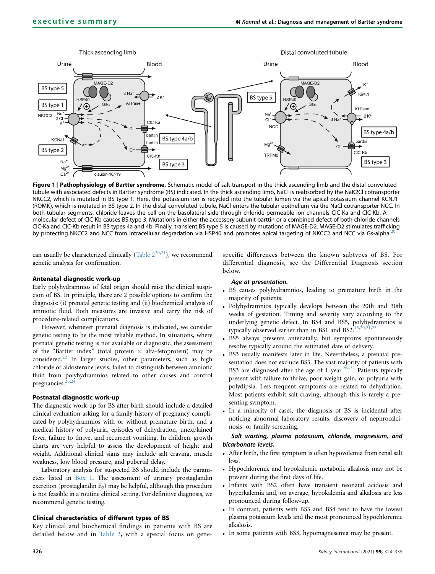<span id="page-2-0"></span>

Figure 1 | Pathophysiology of Bartter syndrome. Schematic model of salt transport in the thick ascending limb and the distal convoluted tubule with associated defects in Bartter syndrome (BS) indicated. In the thick ascending limb, NaCl is reabsorbed by the NaK2Cl cotransporter NKCC2, which is mutated in BS type 1. Here, the potassium ion is recycled into the tubular lumen via the apical potassium channel KCNJ1 (ROMK), which is mutated in BS type 2. In the distal convoluted tubule, NaCl enters the tubular epithelium via the NaCl cotransporter NCC. In both tubular segments, chloride leaves the cell on the basolateral side through chloride-permeable ion channels ClC-Ka and ClC-Kb. A molecular defect of ClC-Kb causes BS type 3. Mutations in either the accessory subunit barttin or a combined defect of both chloride channels ClC-Ka and ClC-Kb result in BS types 4a and 4b. Finally, transient BS type 5 is caused by mutations of MAGE-D2. MAGE-D2 stimulates trafficking by protecting NKCC2 and NCC from intracellular degradation via HSP40 and promotes apical targeting of NKCC2 and NCC via Gs-alpha.<sup>21</sup>

can usually be characterized clinically (Table  $2^{20,21}$  $2^{20,21}$  $2^{20,21}$  $2^{20,21}$  $2^{20,21}$ ), we recommend genetic analysis for confirmation.

## Antenatal diagnostic work-up

Early polyhydramnios of fetal origin should raise the clinical suspicion of BS. In principle, there are 2 possible options to confirm the diagnosis: (i) prenatal genetic testing and (ii) biochemical analysis of amniotic fluid. Both measures are invasive and carry the risk of procedure-related complications.

However, whenever prenatal diagnosis is indicated, we consider genetic testing to be the most reliable method. In situations, where prenatal genetic testing is not available or diagnostic, the assessment of the "Bartter index" (total protein  $\times$  alfa-fetoprotein) may be considered.<sup>[22](#page-10-8)</sup> In larger studies, other parameters, such as high chloride or aldosterone levels, failed to distinguish between amniotic fluid from polyhydramnios related to other causes and control pregnancies.<sup>2</sup>

#### Postnatal diagnostic work-up

The diagnostic work-up for BS after birth should include a detailed clinical evaluation asking for a family history of pregnancy complicated by polyhydramnios with or without premature birth, and a medical history of polyuria, episodes of dehydration, unexplained fever, failure to thrive, and recurrent vomiting. In children, growth charts are very helpful to assess the development of height and weight. Additional clinical signs may include salt craving, muscle weakness, low blood pressure, and pubertal delay.

Laboratory analysis for suspected BS should include the parameters listed in [Box 1](#page-3-0). The assessment of urinary prostaglandin excretion (prostaglandin  $E_2$ ) may be helpful, although this procedure is not feasible in a routine clinical setting. For definitive diagnosis, we recommend genetic testing.

#### Clinical characteristics of different types of BS

Key clinical and biochemical findings in patients with BS are detailed below and in [Table 2,](#page-4-0) with a special focus on genespecific differences between the known subtypes of BS. For differential diagnosis, see the Differential Diagnosis section below.

#### Age at presentation.

- BS causes polyhydramnios, leading to premature birth in the majority of patients.
- Polyhydramnios typically develops between the 20th and 30th weeks of gestation. Timing and severity vary according to the underlying genetic defect. In BS4 and BS5, polyhydramnios is typically observed earlier than in BS1 and BS2. $15,20,21$  $15,20,21$  $15,20,21$  $15,20,21$  $15,20,21$
- BS5 always presents antenatally, but symptoms spontaneously resolve typically around the estimated date of delivery.
- BS3 usually manifests later in life. Nevertheless, a prenatal presentation does not exclude BS3. The vast majority of patients with BS3 are diagnosed after the age of 1 year.<sup>[26](#page-10-12)–32</sup> Patients typically present with failure to thrive, poor weight gain, or polyuria with polydipsia. Less frequent symptoms are related to dehydration. Most patients exhibit salt craving, although this is rarely a presenting symptom.
- In a minority of cases, the diagnosis of BS is incidental after noticing abnormal laboratory results, discovery of nephrocalcinosis, or family screening.

Salt wasting, plasma potassium, chloride, magnesium, and bicarbonate levels.

- After birth, the first symptom is often hypovolemia from renal salt loss.
- Hypochloremic and hypokalemic metabolic alkalosis may not be present during the first days of life.
- Infants with BS2 often have transient neonatal acidosis and hyperkalemia and, on average, hypokalemia and alkalosis are less pronounced during follow-up.
- In contrast, patients with BS3 and BS4 tend to have the lowest plasma potassium levels and the most pronounced hypochloremic alkalosis.
- In some patients with BS3, hypomagnesemia may be present.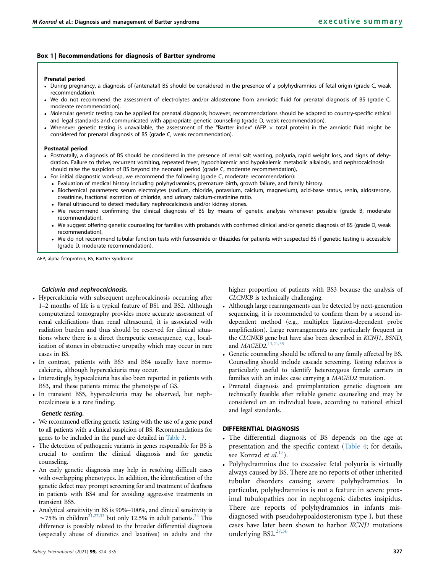# <span id="page-3-0"></span>Box 1 | Recommendations for diagnosis of Bartter syndrome

#### Prenatal period

- During pregnancy, a diagnosis of (antenatal) BS should be considered in the presence of a polyhydramnios of fetal origin (grade C, weak recommendation).
- We do not recommend the assessment of electrolytes and/or aldosterone from amniotic fluid for prenatal diagnosis of BS (grade C, moderate recommendation).
- Molecular genetic testing can be applied for prenatal diagnosis; however, recommendations should be adapted to country-specific ethical and legal standards and communicated with appropriate genetic counseling (grade D, weak recommendation).
- Whenever genetic testing is unavailable, the assessment of the "Bartter index" (AFP  $\times$  total protein) in the amniotic fluid might be considered for prenatal diagnosis of BS (grade C, weak recommendation).

#### Postnatal period

- Postnatally, a diagnosis of BS should be considered in the presence of renal salt wasting, polyuria, rapid weight loss, and signs of dehydration. Failure to thrive, recurrent vomiting, repeated fever, hypochloremic and hypokalemic metabolic alkalosis, and nephrocalcinosis should raise the suspicion of BS beyond the neonatal period (grade C, moderate recommendation),
- For initial diagnostic work-up, we recommend the following (grade C, moderate recommendation):
	- Evaluation of medical history including polyhydramnios, premature birth, growth failure, and family history.
	- Biochemical parameters: serum electrolytes (sodium, chloride, potassium, calcium, magnesium), acid-base status, renin, aldosterone, creatinine, fractional excretion of chloride, and urinary calcium-creatinine ratio.
	- Renal ultrasound to detect medullary nephrocalcinosis and/or kidney stones.
	- We recommend confirming the clinical diagnosis of BS by means of genetic analysis whenever possible (grade B, moderate recommendation).
	- We suggest offering genetic counseling for families with probands with confirmed clinical and/or genetic diagnosis of BS (grade D, weak recommendation).
	- We do not recommend tubular function tests with furosemide or thiazides for patients with suspected BS if genetic testing is accessible (grade D, moderate recommendation).

AFP, alpha fetoprotein; BS, Bartter syndrome.

## Calciuria and nephrocalcinosis.

- Hypercalciuria with subsequent nephrocalcinosis occurring after 1–2 months of life is a typical feature of BS1 and BS2. Although computerized tomography provides more accurate assessment of renal calcifications than renal ultrasound, it is associated with radiation burden and thus should be reserved for clinical situations where there is a direct therapeutic consequence, e.g., localization of stones in obstructive uropathy which may occur in rare cases in BS.
- In contrast, patients with BS3 and BS4 usually have normocalciuria, although hypercalciuria may occur.
- Interestingly, hypocalciuria has also been reported in patients with BS3, and these patients mimic the phenotype of GS.
- In transient BS5, hypercalciuria may be observed, but nephrocalcinosis is a rare finding.

#### Genetic testing.

- We recommend offering genetic testing with the use of a gene panel to all patients with a clinical suspicion of BS. Recommendations for genes to be included in the panel are detailed in [Table 3](#page-5-0).
- The detection of pathogenic variants in genes responsible for BS is crucial to confirm the clinical diagnosis and for genetic counseling.
- An early genetic diagnosis may help in resolving difficult cases with overlapping phenotypes. In addition, the identification of the genetic defect may prompt screening for and treatment of deafness in patients with BS4 and for avoiding aggressive treatments in transient BS5.
- Analytical sensitivity in BS is 90%–100%, and clinical sensitivity is  $\sim$ 75% in children<sup>21[,27](#page-10-13)[,33](#page-10-14)</sup> but only 12.5% in adult patients.<sup>[34](#page-10-15)</sup> This difference is possibly related to the broader differential diagnosis (especially abuse of diuretics and laxatives) in adults and the

higher proportion of patients with BS3 because the analysis of CLCNKB is technically challenging.

- Although large rearrangements can be detected by next-generation sequencing, it is recommended to confirm them by a second independent method (e.g., multiplex ligation-dependent probe amplification). Large rearrangements are particularly frequent in the CLCNKB gene but have also been described in KCNJ1, BSND, and *MAGED2*.<sup>[13](#page-10-16)[,21,](#page-10-7)[35](#page-10-17)</sup>
- Genetic counseling should be offered to any family affected by BS. Counseling should include cascade screening. Testing relatives is particularly useful to identify heterozygous female carriers in families with an index case carrying a MAGED2 mutation.
- Prenatal diagnosis and preimplantation genetic diagnosis are technically feasible after reliable genetic counseling and may be considered on an individual basis, according to national ethical and legal standards.

## DIFFERENTIAL DIAGNOSIS

- The differential diagnosis of BS depends on the age at presentation and the specific context [\(Table 4](#page-5-1); for details, see Konrad *et al.*<sup>[17](#page-10-3)</sup>).
- Polyhydramnios due to excessive fetal polyuria is virtually always caused by BS. There are no reports of other inherited tubular disorders causing severe polyhydramnios. In particular, polyhydramnios is not a feature in severe proximal tubulopathies nor in nephrogenic diabetes insipidus. There are reports of polyhydramnios in infants misdiagnosed with pseudohypoaldosteronism type I, but these cases have later been shown to harbor KCNJ1 mutations underlying BS2.<sup>[27,](#page-10-13)[36](#page-10-18)</sup>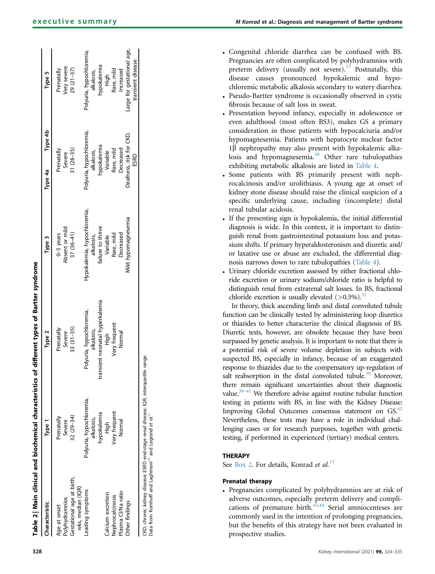<span id="page-4-0"></span>

| <b>Characteristic</b>                                                         | Type 1                                                                               | Type 2                                                                         | Type 3                                                         | Type 4b<br>Type 4a                                    | Type 5                                                |
|-------------------------------------------------------------------------------|--------------------------------------------------------------------------------------|--------------------------------------------------------------------------------|----------------------------------------------------------------|-------------------------------------------------------|-------------------------------------------------------|
| Age at onset                                                                  | Prenatally                                                                           | Prenatally                                                                     | 0-5 years                                                      | Prenatally                                            | Prenatally                                            |
| Gestational age at birth,<br>wks, median (IQR)<br>Polyhydramnios              | 32 (29-34)<br>Severe                                                                 | $33(31-35)$<br>Severe                                                          | Absent or mild<br>$37(36-41)$                                  | $31(28-35)$<br>Severe                                 | Very severe<br>$29(21-37)$                            |
| Leading symptoms                                                              | Polyuria, hypochloremia,<br>hypokalemia<br>alkalosis,                                | nsient neonatal hyperkalemia<br>Polyuria, hypochloremia,<br>alkalosis,<br>trar | Hypokalemia, hypochloremia,<br>failure to thrive<br>alkalosis, | Polyuria, hypochloremia,<br>nypokalemia<br>alkalosis, | Polyuria, hypochloremia,<br>hypokalemia<br>alkalosis, |
| Calcium excretion<br>Nephrocalcinosis                                         | Very frequent<br>AigH                                                                | Very frequent<br>High                                                          | Rare, mild<br>Variable                                         | Rare, mild<br>Variable                                | Rare, mild<br>High                                    |
| Plasma Cl/Na ratio<br>Other findings                                          | Normal                                                                               | Normal                                                                         | Viild hypomagnesemia<br>Decreased                              | Deafness, risk for CKD,<br>Decreased                  | arge for gestational age,<br>Increased                |
|                                                                               |                                                                                      |                                                                                |                                                                | ESRD                                                  | transient disease                                     |
| Data from Komhoff and Laghmani <sup>20</sup> and Legrand et al. <sup>21</sup> | IKD, chronic kidney disease; ESRD end-stage renal disease; IQR, interquartile range. |                                                                                |                                                                |                                                       |                                                       |

| • Congenital chloride diarrhea can be confused with BS.                |
|------------------------------------------------------------------------|
| Pregnancies are often complicated by polyhydramnios with               |
| preterm delivery (usually not severe). <sup>37</sup> Postnatally, this |
| disease causes pronounced hypokalemic and hypo-                        |
| chloremic metabolic alkalosis secondary to watery diarrhea.            |
| . Pseudo-Bartter syndrome is occasionally observed in cystic           |

- Pseudo-Bartter syndrome is occasionally fibrosis because of salt loss in sweat.
- Presentation beyond infancy, especially in adolescence or even adulthood (most often BS3), makes GS a primary consideration in those patients with hypocalciuria and/or hypomagnesemia. Patients with hepatocyte nuclear factor  $1\beta$  nephropathy may also present with hypokalemic alka-losis and hypomagnesemia.<sup>[38](#page-10-20)</sup> Other rare tubulopathies exhibiting metabolic alkalosis are listed in [Table 4](#page-5-1) .
- . Some patients with BS primarily present with nephrocalcinosis and/or urolithiasis. A young age at onset of kidney stone disease should raise the clinical suspicion of a speci fic underlying cause, including (incomplete) distal renal tubular acidosis.
- If the presenting sign is hypokalemia, the initial differential diagnosis is wide. In this context, it is important to distinguish renal from gastrointestinal potassium loss and potassium shifts. If primary hyperaldosteronism and diuretic and/ or laxative use or abuse are excluded, the differential diagnosis narrows down to rare tubulopathies [\(Table 4\)](#page-5-1).
- Urinary chloride excretion assessed by either fractional chloride excretion or urinary sodium/chloride ratio is helpful to distinguish renal from extrarenal salt losses. In BS, fractional chloride excretion is usually elevated  $(>0.5\%)$ .<sup>[32](#page-10-21)</sup>

In theory, thick ascending limb and distal convoluted tubule function can be clinically tested by administering loop diuretics or thiazides to better characterize the clinical diagnosis of BS. Diuretic tests, however, are obsolete because they have been surpassed by genetic analysis. It is important to note that there is a potential risk of severe volume depletion in subjects with suspected BS, especially in infancy, because of an exaggerated response to thiazides due to the compensatory up-regulation of salt reabsorption in the distal convoluted tubule.<sup>39</sup> Moreover, there remain signi ficant uncertainties about their diagnostic value.<sup>39-41</sup> We therefore advise against routine tubular function testing in patients with BS, in line with the Kidney Disease: Improving Global Outcomes consensus statement on GS.<sup>[42](#page-10-23)</sup> Nevertheless, these tests may have a role in individual challenging cases or for research purposes, together with genetic testing, if performed in experienced (tertiary) medical centers.

# **THERAPY**

See [Box 2.](#page-6-0) For details, Konrad et al.<sup>[17](#page-10-3)</sup>

# Prenatal therapy

 Pregnancies complicated by polyhydramnios are at risk of adverse outcomes, especially preterm delivery and complications of premature birth. $43,44$  $43,44$  $43,44$  Serial amniocenteses are commonly used in the intention of prolonging pregnancies, but the bene fits of this strategy have not been evaluated in prospective studies.

Table 2 | Main clinical and biochemical characteristics of different types of Bartter syndrome

Table 2 | Main clinical and biochemical characteristics of different types of Bartter syndrome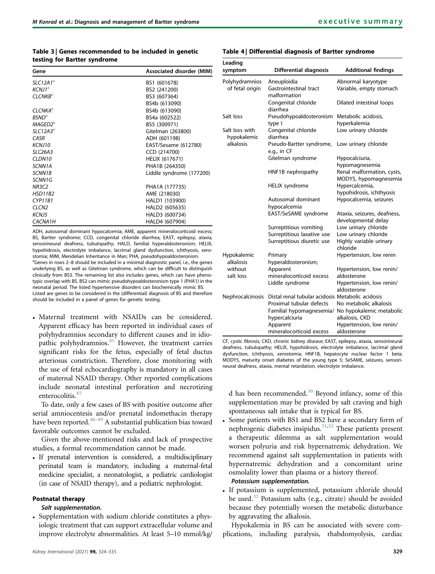# <span id="page-5-0"></span>Table 3 | Genes recommended to be included in genetic testing for Bartter syndrome

| Gene                    | Associated disorder (MIM) |
|-------------------------|---------------------------|
| SLC12A1 <sup>a</sup>    | BS1 (601678)              |
| KCNJ1 <sup>a</sup>      | BS2 (241200)              |
| CLCNKB <sup>a</sup>     | BS3 (607364)              |
|                         | BS4b (613090)             |
| CI CNKA <sup>a</sup>    | BS4b (613090)             |
| <b>RSND<sup>a</sup></b> | BS4a (602522)             |
| MAGED2 <sup>a</sup>     | BS5 (300971)              |
| $SLC12A3^a$             | Gitelman (263800)         |
| CASR                    | ADH (601198)              |
| <b>KCN110</b>           | EAST/Sesame (612780)      |
| <b>SLC26A3</b>          | CCD (214700)              |
| CLDN10                  | <b>HELIX (617671)</b>     |
| SCNN1A                  | PHA1B (264350)            |
| <b>SCNN1B</b>           | Liddle syndrome (177200)  |
| SCNN1G                  |                           |
| NR3C2                   | PHA1A (177735)            |
| <b>HSD11B2</b>          | AME (218030)              |
| <b>CYP11B1</b>          | HALD1 (103900)            |
| CLCN <sub>2</sub>       | HALD2 (605635)            |
| <b>KCNJ5</b>            | HALD3 (600734)            |
| <b>CACNA1H</b>          | HALD4 (607904)            |

<span id="page-5-2"></span>ADH, autosomal dominant hypocalcemia; AME, apparent mineralocorticoid excess; BS, Bartter syndrome; CCD, congenital chloride diarrhea; EAST, epilepsy, ataxia, sensorineural deafness, tubulopathy; HALD, familial hyperaldosteronism; HELIX, hypohidrosis, electrolyte imbalance, lacrimal gland dysfunction, ichthyosis, xerostomia; MIM, Mendelian Inheritance in Man; PHA, pseudohypoaldosteronism. <sup>a</sup>Genes in rows 2-8 should be included in a minimal diagnostic panel, i.e., the genes underlying BS, as well as Gitelman syndrome, which can be difficult to distinguish clinically from BS3. The remaining list also includes genes, which can have phenotypic overlap with BS. BS2 can mimic pseudohypoaldosteronism type 1 (PHA1) in the neonatal period. The listed hypertensive disorders can biochemically mimic BS. Listed are genes to be considered in the (differential) diagnosis of BS and therefore should be included in a panel of genes for genetic testing.

 Maternal treatment with NSAIDs can be considered. Apparent efficacy has been reported in individual cases of polyhydramnios secondary to different causes and in idio-pathic polyhydramnios.<sup>[45](#page-10-26)</sup> However, the treatment carries significant risks for the fetus, especially of fetal ductus arteriosus constriction. Therefore, close monitoring with the use of fetal echocardiography is mandatory in all cases of maternal NSAID therapy. Other reported complications include neonatal intestinal perforation and necrotizing enterocolitis.<sup>[45](#page-10-26)</sup>

To date, only a few cases of BS with positive outcome after serial amniocentesis and/or prenatal indomethacin therapy have been reported. $46-49$  $46-49$  A substantial publication bias toward favorable outcomes cannot be excluded.

Given the above-mentioned risks and lack of prospective studies, a formal recommendation cannot be made.

 If prenatal intervention is considered, a multidisciplinary perinatal team is mandatory, including a maternal-fetal medicine specialist, a neonatologist, a pediatric cardiologist (in case of NSAID therapy), and a pediatric nephrologist.

# Postnatal therapy

# Salt supplementation.

 Supplementation with sodium chloride constitutes a physiologic treatment that can support extracellular volume and improve electrolyte abnormalities. At least 5–10 mmol/kg/

# <span id="page-5-1"></span>Table 4 | Differential diagnosis of Bartter syndrome

| Leading<br>symptom            | <b>Differential diagnosis</b>                    | <b>Additional findings</b>                         |
|-------------------------------|--------------------------------------------------|----------------------------------------------------|
| Polyhydramnios                | Aneuploidia                                      | Abnormal karyotype                                 |
| of fetal origin               | Gastrointestinal tract<br>malformation           | Variable, empty stomach                            |
|                               | Congenital chloride<br>diarrhea                  | Dilated intestinal loops                           |
| Salt loss                     | Pseudohypoaldosteronism                          | Metabolic acidosis,                                |
|                               | type I                                           | hyperkalemia                                       |
| Salt loss with<br>hypokalemic | Congenital chloride<br>diarrhea                  | Low urinary chloride                               |
| alkalosis                     | Pseudo-Bartter syndrome,<br>e.g., in CF          | Low urinary chloride                               |
|                               | Gitelman syndrome                                | Hypocalciuria,                                     |
|                               |                                                  | hypomagnesemia                                     |
|                               | HNF1B nephropathy                                | Renal malformation, cysts,                         |
|                               |                                                  | MODY5, hypomagnesemia                              |
|                               | <b>HELIX</b> syndrome                            | Hypercalcemia,                                     |
|                               |                                                  | hypohidrosis, ichthyosis                           |
|                               | Autosomal dominant<br>hypocalcemia               | Hypocalcemia, seizures                             |
|                               | EAST/SeSAME syndrome                             | Ataxia, seizures, deafness,<br>developmental delay |
|                               | Surreptitious vomiting                           | Low urinary chloride                               |
|                               | Surreptitious laxative use                       | Low urinary chloride                               |
|                               | Surreptitious diuretic use                       | Highly variable urinary<br>chloride                |
| Hypokalemic                   | Primary                                          | Hypertension, low renin                            |
| alkalosis                     | hyperaldosteronism;                              |                                                    |
| without                       | Apparent                                         | Hypertension, low renin/                           |
| salt loss                     | mineralocorticoid excess                         | aldosterone                                        |
|                               | Liddle syndrome                                  | Hypertension, low renin/                           |
|                               |                                                  | aldosterone                                        |
| Nephrocalcinosis              | Distal renal tubular acidosis Metabolic acidosis |                                                    |
|                               | Proximal tubular defects                         | No metabolic alkalosis                             |
|                               |                                                  | Familial hypomagnesemia/ No hypokalemic metabolic  |
|                               | hypercalciuria                                   | alkalosis, CKD                                     |
|                               | Apparent                                         | Hypertension, low renin/                           |
|                               | mineralocorticoid excess                         | aldosterone                                        |

CF, cystic fibrosis; CKD, chronic kidney disease; EAST, epilepsy, ataxia, sensorineural deafness, tubulopathy; HELIX, hypohidrosis, electrolyte imbalance, lacrimal gland dysfunction, ichthyosis, xerostomia; HNF1B, hepatocyte nuclear factor 1 beta; MODY5, maturity onset diabetes of the young type 5; SeSAME, seizures, sensorineural deafness, ataxia, mental retardation, electrolyte imbalance.

d has been recommended.<sup>[50](#page-10-28)</sup> Beyond infancy, some of this supplementation may be provided by salt craving and high spontaneous salt intake that is typical for BS.

- Some patients with BS1 and BS2 have a secondary form of nephrogenic diabetes insipidus.<sup>[51,](#page-10-29)[52](#page-10-30)</sup> These patients present a therapeutic dilemma as salt supplementation would worsen polyuria and risk hypernatremic dehydration. We recommend against salt supplementation in patients with hypernatremic dehydration and a concomitant urine osmolality lower than plasma or a history thereof. Potassium supplementation.
- If potassium is supplemented, potassium chloride should be used. $32$  Potassium salts (e.g., citrate) should be avoided because they potentially worsen the metabolic disturbance by aggravating the alkalosis.

Hypokalemia in BS can be associated with severe complications, including paralysis, rhabdomyolysis, cardiac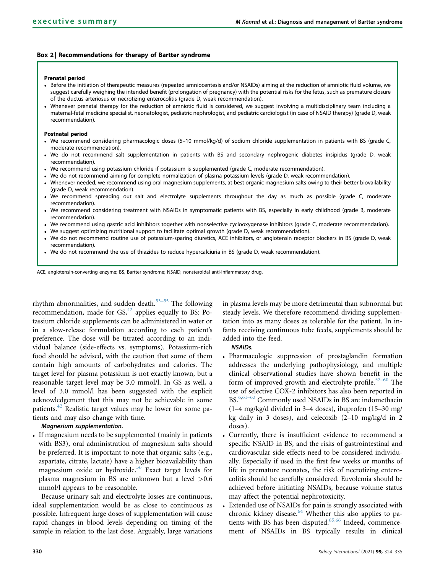## <span id="page-6-0"></span>Box 2 | Recommendations for therapy of Bartter syndrome

#### Prenatal period

- Before the initiation of therapeutic measures (repeated amniocentesis and/or NSAIDs) aiming at the reduction of amniotic fluid volume, we suggest carefully weighing the intended benefit (prolongation of pregnancy) with the potential risks for the fetus, such as premature closure of the ductus arteriosus or necrotizing enterocolitis (grade D, weak recommendation).
- Whenever prenatal therapy for the reduction of amniotic fluid is considered, we suggest involving a multidisciplinary team including a maternal-fetal medicine specialist, neonatologist, pediatric nephrologist, and pediatric cardiologist (in case of NSAID therapy) (grade D, weak recommendation).

#### Postnatal period

- We recommend considering pharmacologic doses (5–10 mmol/kg/d) of sodium chloride supplementation in patients with BS (grade C, moderate recommendation).
- We do not recommend salt supplementation in patients with BS and secondary nephrogenic diabetes insipidus (grade D, weak recommendation).
- We recommend using potassium chloride if potassium is supplemented (grade C, moderate recommendation).
- We do not recommend aiming for complete normalization of plasma potassium levels (grade D, weak recommendation).
- Whenever needed, we recommend using oral magnesium supplements, at best organic magnesium salts owing to their better biovailability (grade D, weak recommendation).
- We recommend spreading out salt and electrolyte supplements throughout the day as much as possible (grade C, moderate recommendation).
- We recommend considering treatment with NSAIDs in symptomatic patients with BS, especially in early childhood (grade B, moderate recommendation).
- We recommend using gastric acid inhibitors together with nonselective cyclooxygenase inhibitors (grade C, moderate recommendation).
- We suggest optimizing nutritional support to facilitate optimal growth (grade D, weak recommendation).
- We do not recommend routine use of potassium-sparing diuretics, ACE inhibitors, or angiotensin receptor blockers in BS (grade D, weak recommendation).
- We do not recommend the use of thiazides to reduce hypercalciuria in BS (grade D, weak recommendation).

ACE, angiotensin-converting enzyme; BS, Bartter syndrome; NSAID, nonsteroidal anti-inflammatory drug.

rhythm abnormalities, and sudden death.<sup>[53](#page-10-31)–55</sup> The following recommendation, made for GS,<sup>[42](#page-10-23)</sup> applies equally to BS: Potassium chloride supplements can be administered in water or in a slow-release formulation according to each patient's preference. The dose will be titrated according to an individual balance (side-effects vs. symptoms). Potassium-rich food should be advised, with the caution that some of them contain high amounts of carbohydrates and calories. The target level for plasma potassium is not exactly known, but a reasonable target level may be 3.0 mmol/l. In GS as well, a level of 3.0 mmol/l has been suggested with the explicit acknowledgement that this may not be achievable in some patients[.42](#page-10-23) Realistic target values may be lower for some patients and may also change with time.

## Magnesium supplementation.

 If magnesium needs to be supplemented (mainly in patients with BS3), oral administration of magnesium salts should be preferred. It is important to note that organic salts (e.g., aspartate, citrate, lactate) have a higher bioavailability than magnesium oxide or hydroxide.<sup>[56](#page-10-32)</sup> Exact target levels for plasma magnesium in BS are unknown but a level >0.6 mmol/l appears to be reasonable.

Because urinary salt and electrolyte losses are continuous, ideal supplementation would be as close to continuous as possible. Infrequent large doses of supplementation will cause rapid changes in blood levels depending on timing of the sample in relation to the last dose. Arguably, large variations in plasma levels may be more detrimental than subnormal but steady levels. We therefore recommend dividing supplementation into as many doses as tolerable for the patient. In infants receiving continuous tube feeds, supplements should be added into the feed.

# NSAIDs.

- Pharmacologic suppression of prostaglandin formation addresses the underlying pathophysiology, and multiple clinical observational studies have shown benefit in the form of improved growth and electrolyte profile.<sup>[57](#page-10-33)–60</sup> The use of selective COX-2 inhibitors has also been reported in BS.<sup>[6,](#page-9-7)61–[63](#page-10-34)</sup> Commonly used NSAIDs in BS are indomethacin (1–4 mg/kg/d divided in 3–4 doses), ibuprofen (15–30 mg/ kg daily in 3 doses), and celecoxib (2–10 mg/kg/d in 2 doses).
- Currently, there is insufficient evidence to recommend a specific NSAID in BS, and the risks of gastrointestinal and cardiovascular side-effects need to be considered individually. Especially if used in the first few weeks or months of life in premature neonates, the risk of necrotizing enterocolitis should be carefully considered. Euvolemia should be achieved before initiating NSAIDs, because volume status may affect the potential nephrotoxicity.
- Extended use of NSAIDs for pain is strongly associated with chronic kidney disease.<sup>[64](#page-11-0)</sup> Whether this also applies to pa-tients with BS has been disputed.<sup>[65](#page-11-1)[,66](#page-11-2)</sup> Indeed, commencement of NSAIDs in BS typically results in clinical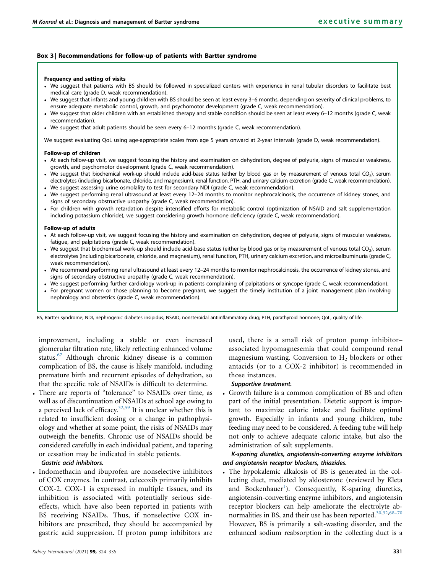## <span id="page-7-0"></span>Box 3 | Recommendations for follow-up of patients with Bartter syndrome

#### Frequency and setting of visits

- We suggest that patients with BS should be followed in specialized centers with experience in renal tubular disorders to facilitate best medical care (grade D, weak recommendation).
- We suggest that infants and young children with BS should be seen at least every 3–6 months, depending on severity of clinical problems, to ensure adequate metabolic control, growth, and psychomotor development (grade C, weak recommendation).
- We suggest that older children with an established therapy and stable condition should be seen at least every 6–12 months (grade C, weak recommendation).
- We suggest that adult patients should be seen every 6–12 months (grade C, weak recommendation).

We suggest evaluating QoL using age-appropriate scales from age 5 years onward at 2-year intervals (grade D, weak recommendation).

#### Follow-up of children

- At each follow-up visit, we suggest focusing the history and examination on dehydration, degree of polyuria, signs of muscular weakness, growth, and psychomotor development (grade C, weak recommendation).
- We suggest that biochemical work-up should include acid-base status (either by blood gas or by measurement of venous total CO<sub>2</sub>), serum electrolytes (including bicarbonate, chloride, and magnesium), renal function, PTH, and urinary calcium excretion (grade C, weak recommendation). We suggest assessing urine osmolality to test for secondary NDI (grade C, weak recommendation).
- We suggest performing renal ultrasound at least every 12–24 months to monitor nephrocalcinosis, the occurrence of kidney stones, and signs of secondary obstructive uropathy (grade C, weak recommendation).
- For children with growth retardation despite intensified efforts for metabolic control (optimization of NSAID and salt supplementation including potassium chloride), we suggest considering growth hormone deficiency (grade C, weak recommendation).

#### Follow-up of adults

- At each follow-up visit, we suggest focusing the history and examination on dehydration, degree of polyuria, signs of muscular weakness, fatigue, and palpitations (grade C, weak recommendation).
- We suggest that biochemical work-up should include acid-base status (either by blood gas or by measurement of venous total CO<sub>2</sub>), serum electrolytes (including bicarbonate, chloride, and magnesium), renal function, PTH, urinary calcium excretion, and microalbuminuria (grade C, weak recommendation).
- We recommend performing renal ultrasound at least every 12–24 months to monitor nephrocalcinosis, the occurrence of kidney stones, and signs of secondary obstructive uropathy (grade C, weak recommendation).
- We suggest performing further cardiology work-up in patients complaining of palpitations or syncope (grade C, weak recommendation).
- For pregnant women or those planning to become pregnant, we suggest the timely institution of a joint management plan involving nephrology and obstetrics (grade C, weak recommendation).

BS, Bartter syndrome; NDI, nephrogenic diabetes insipidus; NSAID, nonsteroidal antiinflammatory drug; PTH, parathyroid hormone; QoL, quality of life.

improvement, including a stable or even increased glomerular filtration rate, likely reflecting enhanced volume status.<sup>[67](#page-11-3)</sup> Although chronic kidney disease is a common complication of BS, the cause is likely manifold, including premature birth and recurrent episodes of dehydration, so that the specific role of NSAIDs is difficult to determine.

 There are reports of "tolerance" to NSAIDs over time, as well as of discontinuation of NSAIDs at school age owing to a perceived lack of efficacy. $32,59$  $32,59$  It is unclear whether this is related to insufficient dosing or a change in pathophysiology and whether at some point, the risks of NSAIDs may outweigh the benefits. Chronic use of NSAIDs should be considered carefully in each individual patient, and tapering or cessation may be indicated in stable patients.

## Gastric acid inhibitors.

 Indomethacin and ibuprofen are nonselective inhibitors of COX enzymes. In contrast, celecoxib primarily inhibits COX-2. COX-1 is expressed in multiple tissues, and its inhibition is associated with potentially serious sideeffects, which have also been reported in patients with BS receiving NSAIDs. Thus, if nonselective COX inhibitors are prescribed, they should be accompanied by gastric acid suppression. If proton pump inhibitors are used, there is a small risk of proton pump inhibitor– associated hypomagnesemia that could compound renal magnesium wasting. Conversion to  $H_2$  blockers or other antacids (or to a COX-2 inhibitor) is recommended in those instances.

# Supportive treatment.

 Growth failure is a common complication of BS and often part of the initial presentation. Dietetic support is important to maximize caloric intake and facilitate optimal growth. Especially in infants and young children, tube feeding may need to be considered. A feeding tube will help not only to achieve adequate caloric intake, but also the administration of salt supplements.

# K-sparing diuretics, angiotensin-converting enzyme inhibitors and angiotensin receptor blockers, thiazides.

 The hypokalemic alkalosis of BS is generated in the collecting duct, mediated by aldosterone (reviewed by Kleta and Bockenhauer<sup>1</sup>). Consequently, K-sparing diuretics, angiotensin-converting enzyme inhibitors, and angiotensin receptor blockers can help ameliorate the electrolyte ab-normalities in BS, and their use has been reported.<sup>[30,](#page-10-36)[32](#page-10-21)[,68](#page-11-4)–70</sup> However, BS is primarily a salt-wasting disorder, and the enhanced sodium reabsorption in the collecting duct is a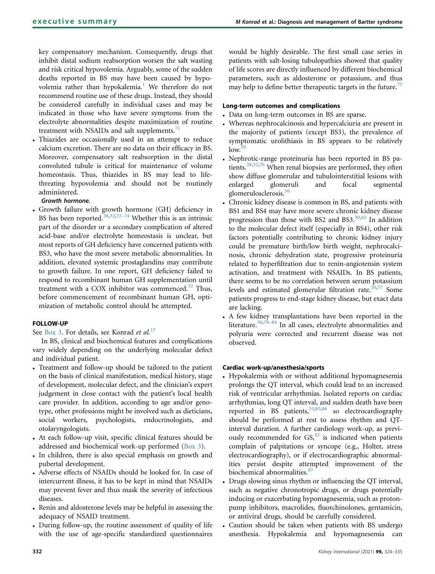key compensatory mechanism. Consequently, drugs that inhibit distal sodium reabsorption worsen the salt wasting and risk critical hypovolemia. Arguably, some of the sudden deaths reported in BS may have been caused by hypo-volemia rather than hypokalemia.<sup>[1](#page-9-0)</sup> We therefore do not recommend routine use of these drugs. Instead, they should be considered carefully in individual cases and may be indicated in those who have severe symptoms from the electrolyte abnormalities despite maximization of routine treatment with NSAIDs and salt supplements. $71$ 

 Thiazides are occasionally used in an attempt to reduce calcium excretion. There are no data on their efficacy in BS. Moreover, compensatory salt reabsorption in the distal convoluted tubule is critical for maintenance of volume homeostasis. Thus, thiazides in BS may lead to lifethreating hypovolemia and should not be routinely administered.

# Growth hormone.

 Growth failure with growth hormone (GH) deficiency in BS has been reported.<sup>[28](#page-10-37),[32,](#page-10-21)72–[74](#page-11-6)</sup> Whether this is an intrinsic part of the disorder or a secondary complication of altered acid-base and/or electrolyte homeostasis is unclear, but most reports of GH deficiency have concerned patients with BS3, who have the most severe metabolic abnormalities. In addition, elevated systemic prostaglandins may contribute to growth failure. In one report, GH deficiency failed to respond to recombinant human GH supplementation until treatment with a COX inhibitor was commenced. $32$  Thus, before commencement of recombinant human GH, optimization of metabolic control should be attempted.

# FOLLOW-UP

See [Box 3](#page-7-0). For details, see Konrad et al.<sup>[17](#page-10-3)</sup>

In BS, clinical and biochemical features and complications vary widely depending on the underlying molecular defect and individual patient.

- Treatment and follow-up should be tailored to the patient on the basis of clinical manifestation, medical history, stage of development, molecular defect, and the clinician's expert judgement in close contact with the patient's local health care provider. In addition, according to age and/or genotype, other professions might be involved such as dieticians, social workers, psychologists, endocrinologists, and otolaryngologists.
- At each follow-up visit, specific clinical features should be addressed and biochemical work-up performed  $(Box 3)$ .
- In children, there is also special emphasis on growth and pubertal development.
- Adverse effects of NSAIDs should be looked for. In case of intercurrent illness, it has to be kept in mind that NSAIDs may prevent fever and thus mask the severity of infectious diseases.
- Renin and aldosterone levels may be helpful in assessing the adequacy of NSAID treatment.
- During follow-up, the routine assessment of quality of life with the use of age-specific standardized questionnaires

would be highly desirable. The first small case series in patients with salt-losing tubulopathies showed that quality of life scores are directly influenced by different biochemical parameters, such as aldosterone or potassium, and thus may help to define better therapeutic targets in the future.<sup>[75](#page-11-7)</sup>

# Long-term outcomes and complications

- Data on long-term outcomes in BS are sparse.
- Whereas nephrocalcinosis and hypercalciuria are present in the majority of patients (except BS3), the prevalence of symptomatic urolithiasis in BS appears to be relatively  $low.<sup>30</sup>$  $low.<sup>30</sup>$  $low.<sup>30</sup>$
- Nephrotic-range proteinuria has been reported in BS patients. $28,32,76$  $28,32,76$  $28,32,76$  When renal biopsies are performed, they often show diffuse glomerular and tubulointerstitial lesions with enlarged glomeruli and focal segmental glomerulosclerosis.[30](#page-10-36)
- Chronic kidney disease is common in BS, and patients with BS1 and BS4 may have more severe chronic kidney disease progression than those with BS2 and BS3.<sup>30,[65](#page-11-1)</sup> In addition to the molecular defect itself (especially in BS4), other risk factors potentially contributing to chronic kidney injury could be premature birth/low birth weight, nephrocalcinosis, chronic dehydration state, progressive proteinuria related to hyperfiltration due to renin-angiotensin system activation, and treatment with NSAIDs. In BS patients, there seems to be no correlation between serum potassium levels and estimated glomerular filtration rate. $30,77$  $30,77$  Some patients progress to end-stage kidney disease, but exact data are lacking.
- A few kidney transplantations have been reported in the literature.[30](#page-10-36),[78](#page-11-10)–<sup>84</sup> In all cases, electrolyte abnormalities and polyuria were corrected and recurrent disease was not observed.

# Cardiac work-up/anesthesia/sports

- Hypokalemia with or without additional hypomagnesemia prolongs the QT interval, which could lead to an increased risk of ventricular arrhythmias. Isolated reports on cardiac arrhythmias, long QT interval, and sudden death have been reported in BS patients,  $53,85,86$  $53,85,86$  $53,85,86$  so electrocardiography should be performed at rest to assess rhythm and QTinterval duration. A further cardiology work-up, as previously recommended for  $GS$ ,  $42$  is indicated when patients complain of palpitations or syncope (e.g., Holter, stress electrocardiography), or if electrocardiographic abnormalities persist despite attempted improvement of the biochemical abnormalities.<sup>[87](#page-11-13)</sup>
- Drugs slowing sinus rhythm or influencing the QT interval, such as negative chronotropic drugs, or drugs potentially inducing or exacerbating hypomagnesemia, such as protonpump inhibitors, macrolides, fluorchinolones, gentamicin, or antiviral drugs, should be carefully considered.
- Caution should be taken when patients with BS undergo anesthesia. Hypokalemia and hypomagnesemia can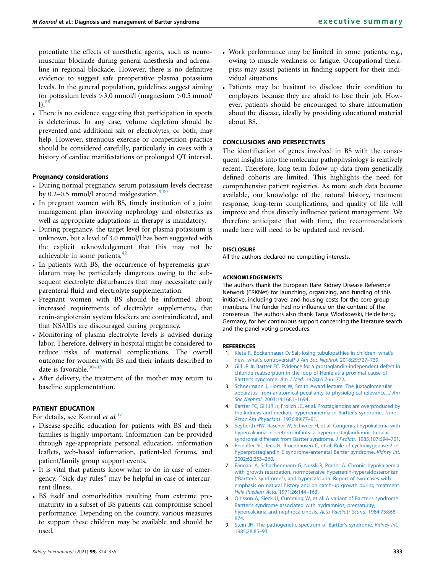potentiate the effects of anesthetic agents, such as neuromuscular blockade during general anesthesia and adrenaline in regional blockade. However, there is no definitive evidence to suggest safe preoperative plasma potassium levels. In the general population, guidelines suggest aiming for potassium levels >3.0 mmol/l (magnesium >0.5 mmol/  $1)$ .<sup>8</sup>

 There is no evidence suggesting that participation in sports is deleterious. In any case, volume depletion should be prevented and additional salt or electrolytes, or both, may help. However, strenuous exercise or competition practice should be considered carefully, particularly in cases with a history of cardiac manifestations or prolonged QT interval.

# Pregnancy considerations

- During normal pregnancy, serum potassium levels decrease by 0.2–0.5 mmol/l around midgestation. $9,89$  $9,89$
- In pregnant women with BS, timely institution of a joint management plan involving nephrology and obstetrics as well as appropriate adaptations in therapy is mandatory.
- During pregnancy, the target level for plasma potassium is unknown, but a level of 3.0 mmol/l has been suggested with the explicit acknowledgement that this may not be achievable in some patients.<sup>[42](#page-10-23)</sup>
- In patients with BS, the occurrence of hyperemesis gravidarum may be particularly dangerous owing to the subsequent electrolyte disturbances that may necessitate early parenteral fluid and electrolyte supplementation.
- Pregnant women with BS should be informed about increased requirements of electrolyte supplements, that renin-angiotensin system blockers are contraindicated, and that NSAIDs are discouraged during pregnancy.
- Monitoring of plasma electrolyte levels is advised during labor. Therefore, delivery in hospital might be considered to reduce risks of maternal complications. The overall outcome for women with BS and their infants described to date is favorable.<sup>90-[95](#page-11-16)</sup>
- After delivery, the treatment of the mother may return to baseline supplementation.

# PATIENT EDUCATION

For details, see Konrad et al.<sup>[17](#page-10-3)</sup>

- Disease-specific education for patients with BS and their families is highly important. Information can be provided through age-appropriate personal education, information leaflets, web-based information, patient-led forums, and patient/family group support events.
- It is vital that patients know what to do in case of emergency. "Sick day rules" may be helpful in case of intercurrent illness.
- BS itself and comorbidities resulting from extreme prematurity in a subset of BS patients can compromise school performance. Depending on the country, various measures to support these children may be available and should be used.
- Work performance may be limited in some patients, e.g., owing to muscle weakness or fatigue. Occupational therapists may assist patients in finding support for their individual situations.
- Patients may be hesitant to disclose their condition to employers because they are afraid to lose their job. However, patients should be encouraged to share information about the disease, ideally by providing educational material about BS.

# CONCLUSIONS AND PERSPECTIVES

The identification of genes involved in BS with the consequent insights into the molecular pathophysiology is relatively recent. Therefore, long-term follow-up data from genetically defined cohorts are limited. This highlights the need for comprehensive patient registries. As more such data become available, our knowledge of the natural history, treatment response, long-term complications, and quality of life will improve and thus directly influence patient management. We therefore anticipate that with time, the recommendations made here will need to be updated and revised.

## **DISCLOSURE**

All the authors declared no competing interests.

## ACKNOWLEDGEMENTS

The authors thank the European Rare Kidney Disease Reference Network (ERKNet) for launching, organizing, and funding of this initiative, including travel and housing costs for the core group members. The funder had no influence on the content of the consensus. The authors also thank Tanja Wlodkowski, Heidelberg, Germany, for her continuous support concerning the literature search and the panel voting procedures.

#### <span id="page-9-0"></span>REFERENCES

- <span id="page-9-1"></span>1. [Kleta R, Bockenhauer D. Salt-losing tubulopathies in children: what](http://refhub.elsevier.com/S0085-2538(20)31404-6/sref1)'s new, what's controversial? [J Am Soc Nephrol](http://refhub.elsevier.com/S0085-2538(20)31404-6/sref1). 2018;29:727–739.
- <span id="page-9-2"></span>2. [Gill JR Jr, Bartter FC. Evidence for a prostaglandin-independent defect in](http://refhub.elsevier.com/S0085-2538(20)31404-6/sref2) [chloride reabsorption in the loop of Henle as a proximal cause of](http://refhub.elsevier.com/S0085-2538(20)31404-6/sref2) Bartter's syncrome. Am J Med[. 1978;65:766](http://refhub.elsevier.com/S0085-2538(20)31404-6/sref2)–772.
- <span id="page-9-3"></span>3. [Schnermann J, Homer W, Smith Award lecture. The juxtaglomerular](http://refhub.elsevier.com/S0085-2538(20)31404-6/sref3) [apparatus: from anatomical peculiarity to physiological relevance.](http://refhub.elsevier.com/S0085-2538(20)31404-6/sref3) J Am Soc Nephrol[. 2003;14:1681](http://refhub.elsevier.com/S0085-2538(20)31404-6/sref3)–1694.
- 4. [Bartter FC, Gill JR Jr, Frolich JC, et al. Prostaglandins are overproduced by](http://refhub.elsevier.com/S0085-2538(20)31404-6/sref4) [the kidneys and mediate hyperreninemia in Bartter](http://refhub.elsevier.com/S0085-2538(20)31404-6/sref4)'s syndrome. Trans [Assoc Am Physicians](http://refhub.elsevier.com/S0085-2538(20)31404-6/sref4). 1976;89:77–91.
- <span id="page-9-7"></span>5. [Seyberth HW, Rascher W, Schweer H, et al. Congenital hypokalemia with](http://refhub.elsevier.com/S0085-2538(20)31404-6/sref5) [hypercalciuria in preterm infants: a hyperprostaglandinuric tubular](http://refhub.elsevier.com/S0085-2538(20)31404-6/sref5) [syndrome different from Bartter syndrome.](http://refhub.elsevier.com/S0085-2538(20)31404-6/sref5) J Pediatr. 1985;107:694–701.
- <span id="page-9-4"></span>6. [Reinalter SC, Jeck N, Brochhausen C, et al. Role of cyclooxygenase-2 in](http://refhub.elsevier.com/S0085-2538(20)31404-6/sref6) [hyperprostaglandin E syndrome/antenatal Bartter syndrome.](http://refhub.elsevier.com/S0085-2538(20)31404-6/sref6) Kidney Int. [2002;62:253](http://refhub.elsevier.com/S0085-2538(20)31404-6/sref6)–260.
- 7. [Fanconi A, Schachenmann G, Nussli R, Prader A. Chronic hypokalaemia](http://refhub.elsevier.com/S0085-2538(20)31404-6/sref7) [with growth retardation, normotensive hyperrenin-hyperaldosteronism](http://refhub.elsevier.com/S0085-2538(20)31404-6/sref7) ("Bartter's syndrome"[\), and hypercalciuria. Report of two cases with](http://refhub.elsevier.com/S0085-2538(20)31404-6/sref7) [emphasis on natural history and on catch-up growth during treatment.](http://refhub.elsevier.com/S0085-2538(20)31404-6/sref7) [Helv Paediatr Acta](http://refhub.elsevier.com/S0085-2538(20)31404-6/sref7). 1971;26:144–163.
- <span id="page-9-5"></span>8. [Ohlsson A, Sieck U, Cumming W, et al. A variant of Bartter](http://refhub.elsevier.com/S0085-2538(20)31404-6/sref8)'s syndrome. Bartter'[s syndrome associated with hydramnios, prematurity,](http://refhub.elsevier.com/S0085-2538(20)31404-6/sref8) [hypercalciuria and nephrocalcinosis.](http://refhub.elsevier.com/S0085-2538(20)31404-6/sref8) Acta Paediatr Scand. 1984;73:868– [874.](http://refhub.elsevier.com/S0085-2538(20)31404-6/sref8)
- <span id="page-9-6"></span>9. [Stein JH. The pathogenetic spectrum of Bartter](http://refhub.elsevier.com/S0085-2538(20)31404-6/sref9)'s syndrome. Kidney Int. [1985;28:85](http://refhub.elsevier.com/S0085-2538(20)31404-6/sref9)–93.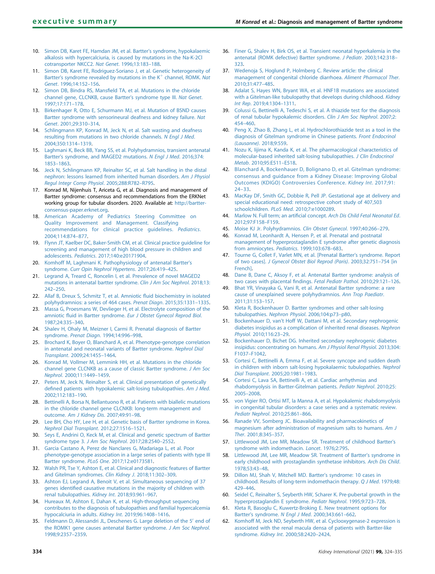- <span id="page-10-0"></span>10. [Simon DB, Karet FE, Hamdan JM, et al. Bartter](http://refhub.elsevier.com/S0085-2538(20)31404-6/sref10)'s syndrome, hypokalaemic [alkalosis with hypercalciuria, is caused by mutations in the Na-K-2Cl](http://refhub.elsevier.com/S0085-2538(20)31404-6/sref10) [cotransporter NKCC2.](http://refhub.elsevier.com/S0085-2538(20)31404-6/sref10) Nat Genet. 1996;13:183–188.
- 11. [Simon DB, Karet FE, Rodriguez-Soriano J, et al. Genetic heterogeneity of](http://refhub.elsevier.com/S0085-2538(20)31404-6/sref11) Bartter'[s](http://refhub.elsevier.com/S0085-2538(20)31404-6/sref11) [syndrome](http://refhub.elsevier.com/S0085-2538(20)31404-6/sref11) [revealed](http://refhub.elsevier.com/S0085-2538(20)31404-6/sref11) [by](http://refhub.elsevier.com/S0085-2538(20)31404-6/sref11) [mutations](http://refhub.elsevier.com/S0085-2538(20)31404-6/sref11) [in](http://refhub.elsevier.com/S0085-2538(20)31404-6/sref11) [the](http://refhub.elsevier.com/S0085-2538(20)31404-6/sref11)  $K^+$  $K^+$  [channel, ROMK.](http://refhub.elsevier.com/S0085-2538(20)31404-6/sref11) Nat Genet[. 1996;14:152](http://refhub.elsevier.com/S0085-2538(20)31404-6/sref11)–156.
- 12. Simon DB, Bindra RS, Mansfi[eld TA, et al. Mutations in the chloride](http://refhub.elsevier.com/S0085-2538(20)31404-6/sref12) [channel gene, CLCNKB, cause Bartter](http://refhub.elsevier.com/S0085-2538(20)31404-6/sref12)'s syndrome type III. Nat Genet. [1997;17:171](http://refhub.elsevier.com/S0085-2538(20)31404-6/sref12)–178.
- <span id="page-10-16"></span>[Birkenhager R, Otto E, Schurmann MJ, et al. Mutation of BSND causes](http://refhub.elsevier.com/S0085-2538(20)31404-6/sref13) [Bartter syndrome with sensorineural deafness and kidney failure.](http://refhub.elsevier.com/S0085-2538(20)31404-6/sref13) Nat Genet[. 2001;29:310](http://refhub.elsevier.com/S0085-2538(20)31404-6/sref13)–314.
- 14. [Schlingmann KP, Konrad M, Jeck N, et al. Salt wasting and deafness](http://refhub.elsevier.com/S0085-2538(20)31404-6/sref14) [resulting from mutations in two chloride channels.](http://refhub.elsevier.com/S0085-2538(20)31404-6/sref14) N Engl J Med. [2004;350:1314](http://refhub.elsevier.com/S0085-2538(20)31404-6/sref14)–1319.
- <span id="page-10-1"></span>15. [Laghmani K, Beck BB, Yang SS, et al. Polyhydramnios, transient antenatal](http://refhub.elsevier.com/S0085-2538(20)31404-6/sref15) Bartter'[s syndrome, and MAGED2 mutations.](http://refhub.elsevier.com/S0085-2538(20)31404-6/sref15) N Engl J Med. 2016;374: 1853–[1863](http://refhub.elsevier.com/S0085-2538(20)31404-6/sref15).
- <span id="page-10-2"></span>16. [Jeck N, Schlingmann KP, Reinalter SC, et al. Salt handling in the distal](http://refhub.elsevier.com/S0085-2538(20)31404-6/sref16) [nephron: lessons learned from inherited human disorders.](http://refhub.elsevier.com/S0085-2538(20)31404-6/sref16) Am J Physiol [Regul Integr Comp Physiol](http://refhub.elsevier.com/S0085-2538(20)31404-6/sref16). 2005;288:R782–R795.
- <span id="page-10-3"></span>17. Konrad M, Nijenhuis T, Ariceta G, et al. Diagnosis and management of Bartter syndrome: consensus and recommendations from the ERKNet working group for tubular disorders. 2020. Available at: [http://bartter](http://bartter-consensus-paper.erknet.org)[consensus-paper.erknet.org](http://bartter-consensus-paper.erknet.org).
- <span id="page-10-4"></span>18. [American Academy of Pediatrics Steering Committee on](http://refhub.elsevier.com/S0085-2538(20)31404-6/sref18) [Quality Improvement and Management. Classifying](http://refhub.elsevier.com/S0085-2538(20)31404-6/sref18) [recommendations for clinical practice guidelines.](http://refhub.elsevier.com/S0085-2538(20)31404-6/sref18) Pediatrics. [2004;114:874](http://refhub.elsevier.com/S0085-2538(20)31404-6/sref18)–877.
- <span id="page-10-5"></span>19. [Flynn JT, Kaelber DC, Baker-Smith CM, et al. Clinical practice guideline for](http://refhub.elsevier.com/S0085-2538(20)31404-6/sref19) [screening and management of high blood pressure in children and](http://refhub.elsevier.com/S0085-2538(20)31404-6/sref19) adolescents. Pediatrics[. 2017;140:e20171904](http://refhub.elsevier.com/S0085-2538(20)31404-6/sref19).
- <span id="page-10-6"></span>20. [Komhoff M, Laghmani K. Pathophysiology of antenatal Bartter](http://refhub.elsevier.com/S0085-2538(20)31404-6/sref20)'s syndrome. [Curr Opin Nephrol Hypertens](http://refhub.elsevier.com/S0085-2538(20)31404-6/sref20). 2017;26:419–425.
- <span id="page-10-7"></span>21. [Legrand A, Treard C, Roncelin I, et al. Prevalence of novel MAGED2](http://refhub.elsevier.com/S0085-2538(20)31404-6/sref21) [mutations in antenatal bartter syndrome.](http://refhub.elsevier.com/S0085-2538(20)31404-6/sref21) Clin J Am Soc Nephrol. 2018;13: [242](http://refhub.elsevier.com/S0085-2538(20)31404-6/sref21)–250.
- <span id="page-10-8"></span>22. [Allaf B, Dreux S, Schmitz T, et al. Amniotic](http://refhub.elsevier.com/S0085-2538(20)31404-6/sref22) fluid biochemistry in isolated [polyhydramnios: a series of 464 cases.](http://refhub.elsevier.com/S0085-2538(20)31404-6/sref22) Prenat Diagn. 2015;35:1331–1335.
- <span id="page-10-9"></span>23. [Massa G, Proesmans W, Devlieger H, et al. Electrolyte composition of the](http://refhub.elsevier.com/S0085-2538(20)31404-6/sref23) amniotic fluid in Bartter syndrome. [Eur J Obstet Gynecol Reprod Biol](http://refhub.elsevier.com/S0085-2538(20)31404-6/sref23). [1987;24:335](http://refhub.elsevier.com/S0085-2538(20)31404-6/sref23)–340.
- <span id="page-10-10"></span>24. [Shalev H, Ohaly M, Meizner I, Carmi R. Prenatal diagnosis of Bartter](http://refhub.elsevier.com/S0085-2538(20)31404-6/sref24) syndrome. Prenat Diagn[. 1994;14:996](http://refhub.elsevier.com/S0085-2538(20)31404-6/sref24)–998.
- <span id="page-10-11"></span>[Brochard K, Boyer O, Blanchard A, et al. Phenotype-genotype correlation](http://refhub.elsevier.com/S0085-2538(20)31404-6/sref25) [in antenatal and neonatal variants of Bartter syndrome.](http://refhub.elsevier.com/S0085-2538(20)31404-6/sref25) Nephrol Dial Transplant[. 2009;24:1455](http://refhub.elsevier.com/S0085-2538(20)31404-6/sref25)–1464.
- <span id="page-10-12"></span>26. [Konrad M, Vollmer M, Lemmink HH, et al. Mutations in the chloride](http://refhub.elsevier.com/S0085-2538(20)31404-6/sref26) [channel gene CLCNKB as a cause of classic Bartter syndrome.](http://refhub.elsevier.com/S0085-2538(20)31404-6/sref26) J Am Soc Nephrol[. 2000;11:1449](http://refhub.elsevier.com/S0085-2538(20)31404-6/sref26)–1459.
- <span id="page-10-13"></span>27. [Peters M, Jeck N, Reinalter S, et al. Clinical presentation of genetically](http://refhub.elsevier.com/S0085-2538(20)31404-6/sref27) defi[ned patients with hypokalemic salt-losing tubulopathies.](http://refhub.elsevier.com/S0085-2538(20)31404-6/sref27) Am J Med. [2002;112:183](http://refhub.elsevier.com/S0085-2538(20)31404-6/sref27)–190.
- <span id="page-10-37"></span>[Bettinelli A, Borsa N, Bellantuono R, et al. Patients with biallelic mutations](http://refhub.elsevier.com/S0085-2538(20)31404-6/sref28) [in the chloride channel gene CLCNKB: long-term management and](http://refhub.elsevier.com/S0085-2538(20)31404-6/sref28) outcome. [Am J Kidney Dis](http://refhub.elsevier.com/S0085-2538(20)31404-6/sref28). 2007;49:91–98.
- 29. [Lee BH, Cho HY, Lee H, et al. Genetic basis of Bartter syndrome in Korea.](http://refhub.elsevier.com/S0085-2538(20)31404-6/sref29) [Nephrol Dial Transplant](http://refhub.elsevier.com/S0085-2538(20)31404-6/sref29). 2012;27:1516–1521.
- <span id="page-10-36"></span>30. [Seys E, Andrini O, Keck M, et al. Clinical and genetic spectrum of Bartter](http://refhub.elsevier.com/S0085-2538(20)31404-6/sref30) [syndrome type 3.](http://refhub.elsevier.com/S0085-2538(20)31404-6/sref30) J Am Soc Nephrol. 2017;28:2540–2552.
- 31. [Garcia Castano A, Perez de Nanclares G, Madariaga L, et al. Poor](http://refhub.elsevier.com/S0085-2538(20)31404-6/sref31) [phenotype-genotype association in a large series of patients with type III](http://refhub.elsevier.com/S0085-2538(20)31404-6/sref31) Bartter syndrome. PLoS One[. 2017;12:e0173581.](http://refhub.elsevier.com/S0085-2538(20)31404-6/sref31)
- <span id="page-10-21"></span>32. [Walsh PR, Tse Y, Ashton E, et al. Clinical and diagnostic features of Bartter](http://refhub.elsevier.com/S0085-2538(20)31404-6/sref32) [and Gitelman syndromes.](http://refhub.elsevier.com/S0085-2538(20)31404-6/sref32) Clin Kidney J. 2018;11:302–309.
- <span id="page-10-14"></span>33. [Ashton EJ, Legrand A, Benoit V, et al. Simultaneous sequencing of 37](http://refhub.elsevier.com/S0085-2538(20)31404-6/sref33) genes identifi[ed causative mutations in the majority of children with](http://refhub.elsevier.com/S0085-2538(20)31404-6/sref33) [renal tubulopathies.](http://refhub.elsevier.com/S0085-2538(20)31404-6/sref33) Kidney Int. 2018;93:961–967.
- <span id="page-10-15"></span>34. [Hureaux M, Ashton E, Dahan K, et al. High-throughput sequencing](http://refhub.elsevier.com/S0085-2538(20)31404-6/sref34) [contributes to the diagnosis of tubulopathies and familial hypercalcemia](http://refhub.elsevier.com/S0085-2538(20)31404-6/sref34) [hypocalciuria in adults.](http://refhub.elsevier.com/S0085-2538(20)31404-6/sref34) Kidney Int. 2019;96:1408–1416.
- <span id="page-10-17"></span>35. [Feldmann D, Alessandri JL, Deschenes G. Large deletion of the 5](http://refhub.elsevier.com/S0085-2538(20)31404-6/sref35)' [end of](http://refhub.elsevier.com/S0085-2538(20)31404-6/sref35) [the ROMK1 gene causes antenatal Bartter syndrome.](http://refhub.elsevier.com/S0085-2538(20)31404-6/sref35) J Am Soc Nephrol. [1998;9:2357](http://refhub.elsevier.com/S0085-2538(20)31404-6/sref35)–2359.
- <span id="page-10-18"></span>36. [Finer G, Shalev H, Birk OS, et al. Transient neonatal hyperkalemia in the](http://refhub.elsevier.com/S0085-2538(20)31404-6/sref36) [antenatal \(ROMK defective\) Bartter syndrome.](http://refhub.elsevier.com/S0085-2538(20)31404-6/sref36) J Pediatr. 2003;142:318– [323.](http://refhub.elsevier.com/S0085-2538(20)31404-6/sref36)
- <span id="page-10-19"></span>37. [Wedenoja S, Hoglund P, Holmberg C. Review article: the clinical](http://refhub.elsevier.com/S0085-2538(20)31404-6/sref37) [management of congenital chloride diarrhoea.](http://refhub.elsevier.com/S0085-2538(20)31404-6/sref37) Aliment Pharmacol Ther. [2010;31:477](http://refhub.elsevier.com/S0085-2538(20)31404-6/sref37)–485.
- <span id="page-10-20"></span>38. [Adalat S, Hayes WN, Bryant WA, et al. HNF1B mutations are associated](http://refhub.elsevier.com/S0085-2538(20)31404-6/sref38) [with a Gitelman-like tubulopathy that develops during childhood.](http://refhub.elsevier.com/S0085-2538(20)31404-6/sref38) Kidney Int Rep[. 2019;4:1304](http://refhub.elsevier.com/S0085-2538(20)31404-6/sref38)–1311.
- <span id="page-10-22"></span>39. [Colussi G, Bettinelli A, Tedeschi S, et al. A thiazide test for the diagnosis](http://refhub.elsevier.com/S0085-2538(20)31404-6/sref39) [of renal tubular hypokalemic disorders.](http://refhub.elsevier.com/S0085-2538(20)31404-6/sref39) Clin J Am Soc Nephrol. 2007;2: 454–[460](http://refhub.elsevier.com/S0085-2538(20)31404-6/sref39).
- 40. [Peng X, Zhao B, Zhang L, et al. Hydrochlorothiazide test as a tool in the](http://refhub.elsevier.com/S0085-2538(20)31404-6/sref40) [diagnosis of Gitelman syndrome in Chinese patients.](http://refhub.elsevier.com/S0085-2538(20)31404-6/sref40) Front Endocrinol (Lausanne)[. 2018;9:559](http://refhub.elsevier.com/S0085-2538(20)31404-6/sref40).
- 41. [Nozu K, Iijima K, Kanda K, et al. The pharmacological characteristics of](http://refhub.elsevier.com/S0085-2538(20)31404-6/sref41) [molecular-based inherited salt-losing tubulopathies.](http://refhub.elsevier.com/S0085-2538(20)31404-6/sref41) J Clin Endocrinol Metab[. 2010;95:E511](http://refhub.elsevier.com/S0085-2538(20)31404-6/sref41)–E518.
- <span id="page-10-23"></span>42. [Blanchard A, Bockenhauer D, Bolignano D, et al. Gitelman syndrome:](http://refhub.elsevier.com/S0085-2538(20)31404-6/sref42) [consensus and guidance from a Kidney Disease: Improving Global](http://refhub.elsevier.com/S0085-2538(20)31404-6/sref42) [Outcomes \(KDIGO\) Controversies Conference.](http://refhub.elsevier.com/S0085-2538(20)31404-6/sref42) Kidney Int. 2017;91: [24](http://refhub.elsevier.com/S0085-2538(20)31404-6/sref42)–33.
- <span id="page-10-24"></span>43. [MacKay DF, Smith GC, Dobbie R, Pell JP. Gestational age at delivery and](http://refhub.elsevier.com/S0085-2538(20)31404-6/sref43) [special educational need: retrospective cohort study of 407,503](http://refhub.elsevier.com/S0085-2538(20)31404-6/sref43) schoolchildren. PLoS Med[. 2010;7:e1000289](http://refhub.elsevier.com/S0085-2538(20)31404-6/sref43).
- <span id="page-10-25"></span>44. Marlow N. Full term; an artificial concept. [Arch Dis Child Fetal Neonatal Ed](http://refhub.elsevier.com/S0085-2538(20)31404-6/sref44). [2012;97:F158](http://refhub.elsevier.com/S0085-2538(20)31404-6/sref44)–F159.
- <span id="page-10-26"></span>45. [Moise KJ Jr. Polyhydramnios.](http://refhub.elsevier.com/S0085-2538(20)31404-6/sref45) Clin Obstet Gynecol. 1997;40:266–279.
- <span id="page-10-27"></span>46. [Konrad M, Leonhardt A, Hensen P, et al. Prenatal and postnatal](http://refhub.elsevier.com/S0085-2538(20)31404-6/sref46) [management of hyperprostaglandin E syndrome after genetic diagnosis](http://refhub.elsevier.com/S0085-2538(20)31404-6/sref46) [from amniocytes.](http://refhub.elsevier.com/S0085-2538(20)31404-6/sref46) Pediatrics. 1999;103:678–683.
- 47. [Tourne G, Collet F, Varlet MN, et al. \[Prenatal Bartter](http://refhub.elsevier.com/S0085-2538(20)31404-6/sref47)'s syndrome. Report of two cases]. [J Gynecol Obstet Biol Reprod \(Paris\)](http://refhub.elsevier.com/S0085-2538(20)31404-6/sref47). 2003;32:751–754 [in [French\].](http://refhub.elsevier.com/S0085-2538(20)31404-6/sref47)
- 48. [Dane B, Dane C, Aksoy F, et al. Antenatal Bartter syndrome: analysis of](http://refhub.elsevier.com/S0085-2538(20)31404-6/sref48) [two cases with placental](http://refhub.elsevier.com/S0085-2538(20)31404-6/sref48) findings. Fetal Pediatr Pathol. 2010;29:121–126.
- 49. [Bhat YR, Vinayaka G, Vani R, et al. Antenatal Bartter syndrome: a rare](http://refhub.elsevier.com/S0085-2538(20)31404-6/sref49) [cause of unexplained severe polyhydramnios.](http://refhub.elsevier.com/S0085-2538(20)31404-6/sref49) Ann Trop Paediatr. [2011;31:153](http://refhub.elsevier.com/S0085-2538(20)31404-6/sref49)–157.
- <span id="page-10-28"></span>50. [Kleta R, Bockenhauer D. Bartter syndromes and other salt-losing](http://refhub.elsevier.com/S0085-2538(20)31404-6/sref50) tubulopathies. [Nephron Physiol](http://refhub.elsevier.com/S0085-2538(20)31404-6/sref50). 2006;104:p73–p80.
- <span id="page-10-29"></span>51. Bockenhauer D, van'[t Hoff W, Dattani M, et al. Secondary nephrogenic](http://refhub.elsevier.com/S0085-2538(20)31404-6/sref51) [diabetes insipidus as a complication of inherited renal diseases.](http://refhub.elsevier.com/S0085-2538(20)31404-6/sref51) Nephron Physiol[. 2010;116:23](http://refhub.elsevier.com/S0085-2538(20)31404-6/sref51)–29.
- <span id="page-10-30"></span>52. [Bockenhauer D, Bichet DG. Inherited secondary nephrogenic diabetes](http://refhub.elsevier.com/S0085-2538(20)31404-6/sref52) [insipidus: concentrating on humans.](http://refhub.elsevier.com/S0085-2538(20)31404-6/sref52) Am J Physiol Renal Physiol. 2013;304: F1037–[F1042.](http://refhub.elsevier.com/S0085-2538(20)31404-6/sref52)
- <span id="page-10-31"></span>53. [Cortesi C, Bettinelli A, Emma F, et al. Severe syncope and sudden death](http://refhub.elsevier.com/S0085-2538(20)31404-6/sref53) [in children with inborn salt-losing hypokalaemic tubulopathies.](http://refhub.elsevier.com/S0085-2538(20)31404-6/sref53) Nephrol [Dial Transplant](http://refhub.elsevier.com/S0085-2538(20)31404-6/sref53). 2005;20:1981–1983.
- 54. [Cortesi C, Lava SA, Bettinelli A, et al. Cardiac arrhythmias and](http://refhub.elsevier.com/S0085-2538(20)31404-6/sref54) [rhabdomyolysis in Bartter-Gitelman patients.](http://refhub.elsevier.com/S0085-2538(20)31404-6/sref54) Pediatr Nephrol. 2010;25: 2005–[2008.](http://refhub.elsevier.com/S0085-2538(20)31404-6/sref54)
- 55. [von Vigier RO, Ortisi MT, la Manna A, et al. Hypokalemic rhabdomyolysis](http://refhub.elsevier.com/S0085-2538(20)31404-6/sref55) [in congenital tubular disorders: a case series and a systematic review.](http://refhub.elsevier.com/S0085-2538(20)31404-6/sref55) [Pediatr Nephrol](http://refhub.elsevier.com/S0085-2538(20)31404-6/sref55). 2010;25:861–866.
- <span id="page-10-32"></span>56. [Ranade VV, Somberg JC. Bioavailability and pharmacokinetics of](http://refhub.elsevier.com/S0085-2538(20)31404-6/sref56) [magnesium after administration of magnesium salts to humans.](http://refhub.elsevier.com/S0085-2538(20)31404-6/sref56) Am J Ther[. 2001;8:345](http://refhub.elsevier.com/S0085-2538(20)31404-6/sref56)–357.
- <span id="page-10-33"></span>57. [Littlewood JM, Lee MR, Meadow SR. Treatment of childhood Bartter](http://refhub.elsevier.com/S0085-2538(20)31404-6/sref57)'s [syndrome with indomethacin.](http://refhub.elsevier.com/S0085-2538(20)31404-6/sref57) Lancet. 1976;2:795.
- 58. [Littlewood JM, Lee MR, Meadow SR. Treatment of Bartter](http://refhub.elsevier.com/S0085-2538(20)31404-6/sref58)'s syndrome in [early childhood with prostaglandin synthetase inhibitors.](http://refhub.elsevier.com/S0085-2538(20)31404-6/sref58) Arch Dis Child. [1978;53:43](http://refhub.elsevier.com/S0085-2538(20)31404-6/sref58)–48.
- <span id="page-10-35"></span>59. [Dillon MJ, Shah V, Mitchell MD. Bartter](http://refhub.elsevier.com/S0085-2538(20)31404-6/sref59)'s syndrome: 10 cases in [childhood. Results of long-term indomethacin therapy.](http://refhub.elsevier.com/S0085-2538(20)31404-6/sref59) Q J Med. 1979;48: 429–[446](http://refhub.elsevier.com/S0085-2538(20)31404-6/sref59).
- 60. [Seidel C, Reinalter S, Seyberth HW, Scharer K. Pre-pubertal growth in the](http://refhub.elsevier.com/S0085-2538(20)31404-6/sref60) [hyperprostaglandin E syndrome.](http://refhub.elsevier.com/S0085-2538(20)31404-6/sref60) Pediatr Nephrol. 1995;9:723–728.
- <span id="page-10-34"></span>61. [Kleta R, Basoglu C, Kuwertz-Broking E. New treatment options for](http://refhub.elsevier.com/S0085-2538(20)31404-6/sref61) Bartter's syndrome. N Engl J Med[. 2000;343:661](http://refhub.elsevier.com/S0085-2538(20)31404-6/sref61)–662.
- 62. [Komhoff M, Jeck ND, Seyberth HW, et al. Cyclooxygenase-2 expression is](http://refhub.elsevier.com/S0085-2538(20)31404-6/sref62) [associated with the renal macula densa of patients with Bartter-like](http://refhub.elsevier.com/S0085-2538(20)31404-6/sref62) syndrome. Kidney Int[. 2000;58:2420](http://refhub.elsevier.com/S0085-2538(20)31404-6/sref62)–2424.